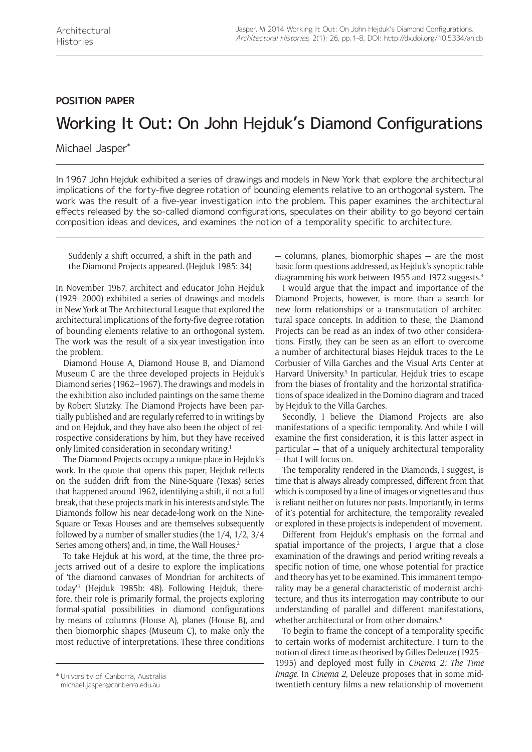## **Position paper**

## Working It Out: On John Hejduk's Diamond Configurations

Michael Jasper\*

In 1967 John Hejduk exhibited a series of drawings and models in New York that explore the architectural implications of the forty-five degree rotation of bounding elements relative to an orthogonal system. The work was the result of a five-year investigation into the problem. This paper examines the architectural effects released by the so-called diamond configurations, speculates on their ability to go beyond certain composition ideas and devices, and examines the notion of a temporality specific to architecture.

Suddenly a shift occurred, a shift in the path and the Diamond Projects appeared. (Hejduk 1985: 34)

In November 1967, architect and educator John Hejduk (1929–2000) exhibited a series of drawings and models in New York at The Architectural League that explored the architectural implications of the forty-five degree rotation of bounding elements relative to an orthogonal system. The work was the result of a six-year investigation into the problem.

Diamond House A, Diamond House B, and Diamond Museum C are the three developed projects in Hejduk's Diamond series (1962–1967). The drawings and models in the exhibition also included paintings on the same theme by Robert Slutzky. The Diamond Projects have been partially published and are regularly referred to in writings by and on Hejduk, and they have also been the object of retrospective considerations by him, but they have received only limited consideration in secondary writing.<sup>1</sup>

The Diamond Projects occupy a unique place in Hejduk's work. In the quote that opens this paper, Hejduk reflects on the sudden drift from the Nine-Square (Texas) series that happened around 1962, identifying a shift, if not a full break, that these projects mark in his interests and style. The Diamonds follow his near decade-long work on the Nine-Square or Texas Houses and are themselves subsequently followed by a number of smaller studies (the 1/4, 1/2, 3/4 Series among others) and, in time, the Wall Houses.<sup>2</sup>

To take Hejduk at his word, at the time, the three projects arrived out of a desire to explore the implications of 'the diamond canvases of Mondrian for architects of today'3 (Hejduk 1985b: 48). Following Hejduk, therefore, their role is primarily formal, the projects exploring formal-spatial possibilities in diamond configurations by means of columns (House A), planes (House B), and then biomorphic shapes (Museum C), to make only the most reductive of interpretations. These three conditions

— columns, planes, biomorphic shapes — are the most basic form questions addressed, as Hejduk's synoptic table diagramming his work between 1955 and 1972 suggests.4

I would argue that the impact and importance of the Diamond Projects, however, is more than a search for new form relationships or a transmutation of architectural space concepts. In addition to these, the Diamond Projects can be read as an index of two other considerations. Firstly, they can be seen as an effort to overcome a number of architectural biases Hejduk traces to the Le Corbusier of Villa Garches and the Visual Arts Center at Harvard University.<sup>5</sup> In particular, Hejduk tries to escape from the biases of frontality and the horizontal stratifications of space idealized in the Domino diagram and traced by Hejduk to the Villa Garches.

Secondly, I believe the Diamond Projects are also manifestations of a specific temporality. And while I will examine the first consideration, it is this latter aspect in particular — that of a uniquely architectural temporality — that I will focus on.

The temporality rendered in the Diamonds, I suggest, is time that is always already compressed, different from that which is composed by a line of images or vignettes and thus is reliant neither on futures nor pasts. Importantly, in terms of it's potential for architecture, the temporality revealed or explored in these projects is independent of movement.

Different from Hejduk's emphasis on the formal and spatial importance of the projects, I argue that a close examination of the drawings and period writing reveals a specific notion of time, one whose potential for practice and theory has yet to be examined. This immanent temporality may be a general characteristic of modernist architecture, and thus its interrogation may contribute to our understanding of parallel and different manifestations, whether architectural or from other domains.<sup>6</sup>

To begin to frame the concept of a temporality specific to certain works of modernist architecture, I turn to the notion of direct time as theorised by Gilles Deleuze (1925– 1995) and deployed most fully in *Cinema 2: The Time Image*. In *Cinema 2*, Deleuze proposes that in some midtwentieth-century films a new relationship of movement \* University of Canberra, Australia

[michael.jasper@canberra.edu.au](mailto:michael.jasper@canberra.edu.au)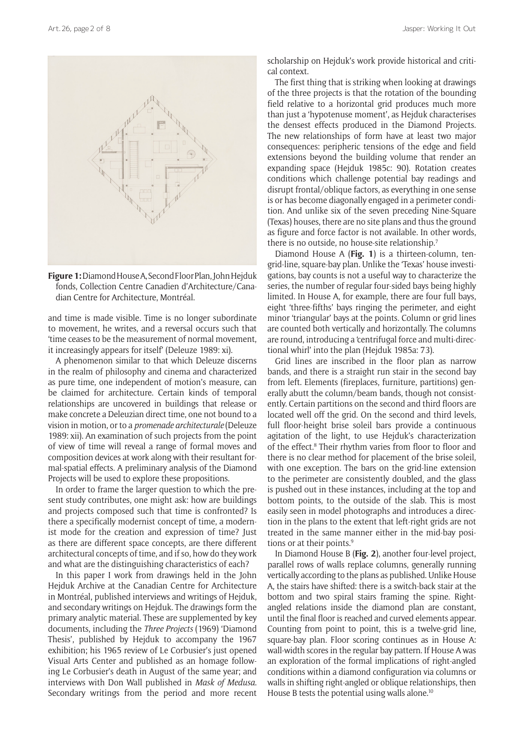

**Figure 1:** Diamond House A, Second Floor Plan, John Hejduk fonds, Collection Centre Canadien d'Architecture/Canadian Centre for Architecture, Montréal.

and time is made visible. Time is no longer subordinate to movement, he writes, and a reversal occurs such that 'time ceases to be the measurement of normal movement, it increasingly appears for itself' (Deleuze 1989: xi).

A phenomenon similar to that which Deleuze discerns in the realm of philosophy and cinema and characterized as pure time, one independent of motion's measure, can be claimed for architecture. Certain kinds of temporal relationships are uncovered in buildings that release or make concrete a Deleuzian direct time, one not bound to a vision in motion, or to a *promenade architecturale* (Deleuze 1989: xii). An examination of such projects from the point of view of time will reveal a range of formal moves and composition devices at work along with their resultant formal-spatial effects. A preliminary analysis of the Diamond Projects will be used to explore these propositions.

In order to frame the larger question to which the present study contributes, one might ask: how are buildings and projects composed such that time is confronted? Is there a specifically modernist concept of time, a modernist mode for the creation and expression of time? Just as there are different space concepts, are there different architectural concepts of time, and if so, how do they work and what are the distinguishing characteristics of each?

In this paper I work from drawings held in the John Hejduk Archive at the Canadian Centre for Architecture in Montréal, published interviews and writings of Hejduk, and secondary writings on Hejduk. The drawings form the primary analytic material. These are supplemented by key documents, including the *Three Projects* (1969) 'Diamond Thesis', published by Hejduk to accompany the 1967 exhibition; his 1965 review of Le Corbusier's just opened Visual Arts Center and published as an homage following Le Corbusier's death in August of the same year; and interviews with Don Wall published in *Mask of Medusa*. Secondary writings from the period and more recent

scholarship on Hejduk's work provide historical and critical context.

The first thing that is striking when looking at drawings of the three projects is that the rotation of the bounding field relative to a horizontal grid produces much more than just a 'hypotenuse moment', as Hejduk characterises the densest effects produced in the Diamond Projects. The new relationships of form have at least two major consequences: peripheric tensions of the edge and field extensions beyond the building volume that render an expanding space (Hejduk 1985c: 90). Rotation creates conditions which challenge potential bay readings and disrupt frontal/oblique factors, as everything in one sense is or has become diagonally engaged in a perimeter condition. And unlike six of the seven preceding Nine-Square (Texas) houses, there are no site plans and thus the ground as figure and force factor is not available. In other words, there is no outside, no house-site relationship.7

Diamond House A (**Fig. 1**) is a thirteen-column, tengrid-line, square-bay plan. Unlike the 'Texas' house investigations, bay counts is not a useful way to characterize the series, the number of regular four-sided bays being highly limited. In House A, for example, there are four full bays, eight 'three-fifths' bays ringing the perimeter, and eight minor 'triangular' bays at the points. Column or grid lines are counted both vertically and horizontally. The columns are round, introducing a 'centrifugal force and multi-directional whirl' into the plan (Hejduk 1985a: 73).

Grid lines are inscribed in the floor plan as narrow bands, and there is a straight run stair in the second bay from left. Elements (fireplaces, furniture, partitions) generally abutt the column/beam bands, though not consistently. Certain partitions on the second and third floors are located well off the grid. On the second and third levels, full floor-height brise soleil bars provide a continuous agitation of the light, to use Hejduk's characterization of the effect.<sup>8</sup> Their rhythm varies from floor to floor and there is no clear method for placement of the brise soleil, with one exception. The bars on the grid-line extension to the perimeter are consistently doubled, and the glass is pushed out in these instances, including at the top and bottom points, to the outside of the slab. This is most easily seen in model photographs and introduces a direction in the plans to the extent that left-right grids are not treated in the same manner either in the mid-bay positions or at their points.9

In Diamond House B (**Fig. 2**), another four-level project, parallel rows of walls replace columns, generally running vertically according to the plans as published. Unlike House A, the stairs have shifted: there is a switch-back stair at the bottom and two spiral stairs framing the spine. Rightangled relations inside the diamond plan are constant, until the final floor is reached and curved elements appear. Counting from point to point, this is a twelve-grid line, square-bay plan. Floor scoring continues as in House A: wall-width scores in the regular bay pattern. If House A was an exploration of the formal implications of right-angled conditions within a diamond configuration via columns or walls in shifting right-angled or oblique relationships, then House B tests the potential using walls alone.<sup>10</sup>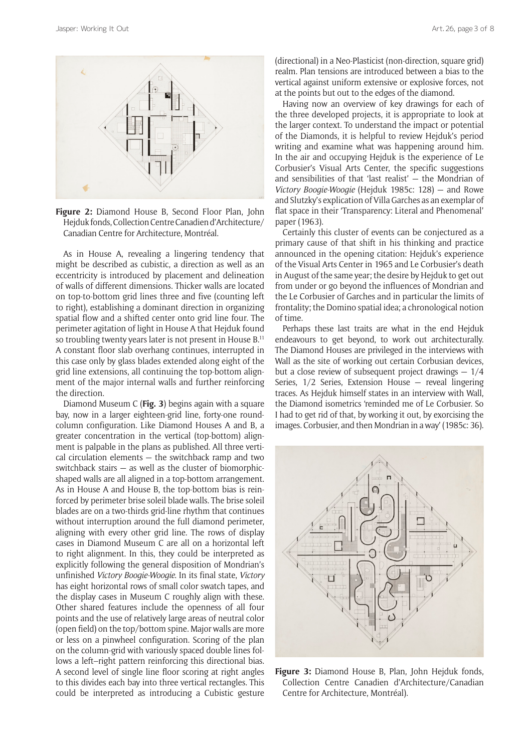

**Figure 2:** Diamond House B, Second Floor Plan, John Hejduk fonds, Collection Centre Canadien d'Architecture/ Canadian Centre for Architecture, Montréal.

As in House A, revealing a lingering tendency that might be described as cubistic, a direction as well as an eccentricity is introduced by placement and delineation of walls of different dimensions. Thicker walls are located on top-to-bottom grid lines three and five (counting left to right), establishing a dominant direction in organizing spatial flow and a shifted center onto grid line four. The perimeter agitation of light in House A that Hejduk found so troubling twenty years later is not present in House B.<sup>11</sup> A constant floor slab overhang continues, interrupted in this case only by glass blades extended along eight of the grid line extensions, all continuing the top-bottom alignment of the major internal walls and further reinforcing the direction.

Diamond Museum C (**Fig. 3**) begins again with a square bay, now in a larger eighteen-grid line, forty-one roundcolumn configuration. Like Diamond Houses A and B, a greater concentration in the vertical (top-bottom) alignment is palpable in the plans as published. All three vertical circulation elements — the switchback ramp and two switchback stairs — as well as the cluster of biomorphicshaped walls are all aligned in a top-bottom arrangement. As in House A and House B, the top-bottom bias is reinforced by perimeter brise soleil blade walls. The brise soleil blades are on a two-thirds grid-line rhythm that continues without interruption around the full diamond perimeter, aligning with every other grid line. The rows of display cases in Diamond Museum C are all on a horizontal left to right alignment. In this, they could be interpreted as explicitly following the general disposition of Mondrian's unfinished *Victory Boogie-Woogie*. In its final state, *Victory* has eight horizontal rows of small color swatch tapes, and the display cases in Museum C roughly align with these. Other shared features include the openness of all four points and the use of relatively large areas of neutral color (open field) on the top/bottom spine. Major walls are more or less on a pinwheel configuration. Scoring of the plan on the column-grid with variously spaced double lines follows a left–right pattern reinforcing this directional bias. A second level of single line floor scoring at right angles to this divides each bay into three vertical rectangles. This could be interpreted as introducing a Cubistic gesture

(directional) in a Neo-Plasticist (non-direction, square grid) realm. Plan tensions are introduced between a bias to the vertical against uniform extensive or explosive forces, not at the points but out to the edges of the diamond.

Having now an overview of key drawings for each of the three developed projects, it is appropriate to look at the larger context. To understand the impact or potential of the Diamonds, it is helpful to review Hejduk's period writing and examine what was happening around him. In the air and occupying Hejduk is the experience of Le Corbusier's Visual Arts Center, the specific suggestions and sensibilities of that 'last realist' — the Mondrian of *Victory Boogie-Woogie* (Hejduk 1985c: 128) — and Rowe and Slutzky's explication of Villa Garches as an exemplar of flat space in their 'Transparency: Literal and Phenomenal' paper (1963).

Certainly this cluster of events can be conjectured as a primary cause of that shift in his thinking and practice announced in the opening citation: Hejduk's experience of the Visual Arts Center in 1965 and Le Corbusier's death in August of the same year; the desire by Hejduk to get out from under or go beyond the influences of Mondrian and the Le Corbusier of Garches and in particular the limits of frontality; the Domino spatial idea; a chronological notion of time.

Perhaps these last traits are what in the end Hejduk endeavours to get beyond, to work out architecturally. The Diamond Houses are privileged in the interviews with Wall as the site of working out certain Corbusian devices, but a close review of subsequent project drawings  $-1/4$ Series, 1/2 Series, Extension House — reveal lingering traces. As Hejduk himself states in an interview with Wall, the Diamond isometrics 'reminded me of Le Corbusier. So I had to get rid of that, by working it out, by exorcising the images. Corbusier, and then Mondrian in a way' (1985c: 36).



**Figure 3:** Diamond House B, Plan, John Hejduk fonds, Collection Centre Canadien d'Architecture/Canadian Centre for Architecture, Montréal).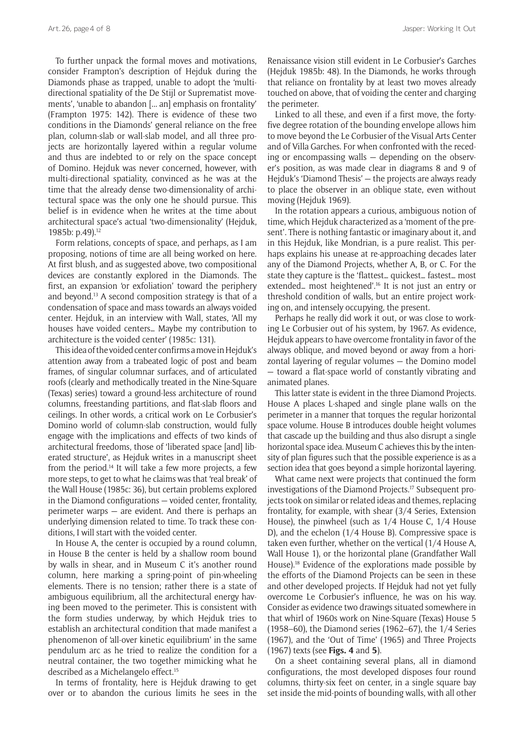To further unpack the formal moves and motivations, consider Frampton's description of Hejduk during the Diamonds phase as trapped, unable to adopt the 'multidirectional spatiality of the De Stijl or Suprematist movements', 'unable to abandon [... an] emphasis on frontality' (Frampton 1975: 142). There is evidence of these two conditions in the Diamonds' general reliance on the free plan, column-slab or wall-slab model, and all three projects are horizontally layered within a regular volume and thus are indebted to or rely on the space concept of Domino. Hejduk was never concerned, however, with multi-directional spatiality, convinced as he was at the time that the already dense two-dimensionality of architectural space was the only one he should pursue. This belief is in evidence when he writes at the time about architectural space's actual 'two-dimensionality' (Hejduk, 1985b: p.49).<sup>12</sup>

Form relations, concepts of space, and perhaps, as I am proposing, notions of time are all being worked on here. At first blush, and as suggested above, two compositional devices are constantly explored in the Diamonds. The first, an expansion 'or exfoliation' toward the periphery and beyond.13 A second composition strategy is that of a condensation of space and mass towards an always voided center. Hejduk, in an interview with Wall, states, 'All my houses have voided centers… Maybe my contribution to architecture is the voided center' (1985c: 131).

This idea of the voided center confirms a move in Hejduk's attention away from a trabeated logic of post and beam frames, of singular columnar surfaces, and of articulated roofs (clearly and methodically treated in the Nine-Square (Texas) series) toward a ground-less architecture of round columns, freestanding partitions, and flat-slab floors and ceilings. In other words, a critical work on Le Corbusier's Domino world of column-slab construction, would fully engage with the implications and effects of two kinds of architectural freedoms, those of 'liberated space [and] liberated structure', as Hejduk writes in a manuscript sheet from the period.<sup>14</sup> It will take a few more projects, a few more steps, to get to what he claims was that 'real break' of the Wall House (1985c: 36), but certain problems explored in the Diamond configurations — voided center, frontality, perimeter warps — are evident. And there is perhaps an underlying dimension related to time. To track these conditions, I will start with the voided center.

In House A, the center is occupied by a round column, in House B the center is held by a shallow room bound by walls in shear, and in Museum C it's another round column, here marking a spring-point of pin-wheeling elements. There is no tension; rather there is a state of ambiguous equilibrium, all the architectural energy having been moved to the perimeter. This is consistent with the form studies underway, by which Hejduk tries to establish an architectural condition that made manifest a phenomenon of 'all-over kinetic equilibrium' in the same pendulum arc as he tried to realize the condition for a neutral container, the two together mimicking what he described as a Michelangelo effect.<sup>15</sup>

In terms of frontality, here is Hejduk drawing to get over or to abandon the curious limits he sees in the Renaissance vision still evident in Le Corbusier's Garches (Hejduk 1985b: 48). In the Diamonds, he works through that reliance on frontality by at least two moves already touched on above, that of voiding the center and charging the perimeter.

Linked to all these, and even if a first move, the fortyfive degree rotation of the bounding envelope allows him to move beyond the Le Corbusier of the Visual Arts Center and of Villa Garches. For when confronted with the receding or encompassing walls — depending on the observer's position, as was made clear in diagrams 8 and 9 of Hejduk's 'Diamond Thesis' — the projects are always ready to place the observer in an oblique state, even without moving (Hejduk 1969).

In the rotation appears a curious, ambiguous notion of time, which Hejduk characterized as a 'moment of the present'. There is nothing fantastic or imaginary about it, and in this Hejduk, like Mondrian, is a pure realist. This perhaps explains his unease at re-approaching decades later any of the Diamond Projects, whether A, B, or C. For the state they capture is the 'flattest… quickest… fastest… most extended… most heightened'.16 It is not just an entry or threshold condition of walls, but an entire project working on, and intensely occupying, the present.

Perhaps he really did work it out, or was close to working Le Corbusier out of his system, by 1967. As evidence, Hejduk appears to have overcome frontality in favor of the always oblique, and moved beyond or away from a horizontal layering of regular volumes — the Domino model — toward a flat-space world of constantly vibrating and animated planes.

This latter state is evident in the three Diamond Projects. House A places L-shaped and single plane walls on the perimeter in a manner that torques the regular horizontal space volume. House B introduces double height volumes that cascade up the building and thus also disrupt a single horizontal space idea. Museum C achieves this by the intensity of plan figures such that the possible experience is as a section idea that goes beyond a simple horizontal layering.

What came next were projects that continued the form investigations of the Diamond Projects.17 Subsequent projects took on similar or related ideas and themes, replacing frontality, for example, with shear (3/4 Series, Extension House), the pinwheel (such as 1/4 House C, 1/4 House D), and the echelon (1/4 House B). Compressive space is taken even further, whether on the vertical (1/4 House A, Wall House 1), or the horizontal plane (Grandfather Wall House).18 Evidence of the explorations made possible by the efforts of the Diamond Projects can be seen in these and other developed projects. If Hejduk had not yet fully overcome Le Corbusier's influence, he was on his way. Consider as evidence two drawings situated somewhere in that whirl of 1960s work on Nine-Square (Texas) House 5 (1958–60), the Diamond series (1962–67), the 1/4 Series (1967), and the 'Out of Time' (1965) and Three Projects (1967) texts (see **Figs. 4** and **5**).

On a sheet containing several plans, all in diamond configurations, the most developed disposes four round columns, thirty-six feet on center, in a single square bay set inside the mid-points of bounding walls, with all other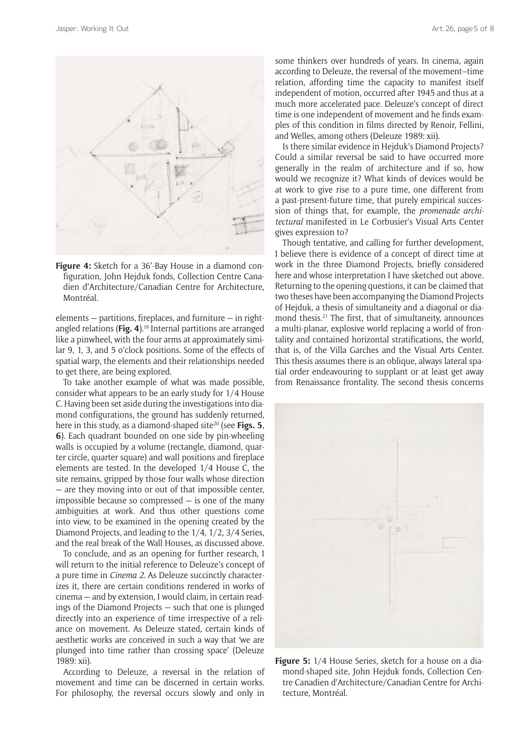

**Figure 4:** Sketch for a 36'-Bay House in a diamond configuration, John Hejduk fonds, Collection Centre Canadien d'Architecture/Canadian Centre for Architecture, Montréal.

elements — partitions, fireplaces, and furniture — in rightangled relations (**Fig. 4**).19 Internal partitions are arranged like a pinwheel, with the four arms at approximately similar 9, 1, 3, and 5 o'clock positions. Some of the effects of spatial warp, the elements and their relationships needed to get there, are being explored.

To take another example of what was made possible, consider what appears to be an early study for 1/4 House C. Having been set aside during the investigations into diamond configurations, the ground has suddenly returned, here in this study, as a diamond-shaped site<sup>20</sup> (see **Figs. 5**, **6**). Each quadrant bounded on one side by pin-wheeling walls is occupied by a volume (rectangle, diamond, quarter circle, quarter square) and wall positions and fireplace elements are tested. In the developed 1/4 House C, the site remains, gripped by those four walls whose direction — are they moving into or out of that impossible center, impossible because so compressed  $-$  is one of the many ambiguities at work. And thus other questions come into view, to be examined in the opening created by the Diamond Projects, and leading to the 1/4, 1/2, 3/4 Series, and the real break of the Wall Houses, as discussed above.

To conclude, and as an opening for further research, I will return to the initial reference to Deleuze's concept of a pure time in *Cinema 2*. As Deleuze succinctly characterizes it, there are certain conditions rendered in works of cinema — and by extension, I would claim, in certain readings of the Diamond Projects — such that one is plunged directly into an experience of time irrespective of a reliance on movement. As Deleuze stated, certain kinds of aesthetic works are conceived in such a way that 'we are plunged into time rather than crossing space' (Deleuze 1989: xii).

According to Deleuze, a reversal in the relation of movement and time can be discerned in certain works. For philosophy, the reversal occurs slowly and only in some thinkers over hundreds of years. In cinema, again according to Deleuze, the reversal of the movement–time relation, affording time the capacity to manifest itself independent of motion, occurred after 1945 and thus at a much more accelerated pace. Deleuze's concept of direct time is one independent of movement and he finds examples of this condition in films directed by Renoir, Fellini, and Welles, among others (Deleuze 1989: xii).

Is there similar evidence in Hejduk's Diamond Projects? Could a similar reversal be said to have occurred more generally in the realm of architecture and if so, how would we recognize it? What kinds of devices would be at work to give rise to a pure time, one different from a past-present-future time, that purely empirical succession of things that, for example, the *promenade architectural* manifested in Le Corbusier's Visual Arts Center gives expression to?

Though tentative, and calling for further development, I believe there is evidence of a concept of direct time at work in the three Diamond Projects, briefly considered here and whose interpretation I have sketched out above. Returning to the opening questions, it can be claimed that two theses have been accompanying the Diamond Projects of Hejduk, a thesis of simultaneity and a diagonal or diamond thesis.21 The first, that of simultaneity, announces a multi-planar, explosive world replacing a world of frontality and contained horizontal stratifications, the world, that is, of the Villa Garches and the Visual Arts Center. This thesis assumes there is an oblique, always lateral spatial order endeavouring to supplant or at least get away from Renaissance frontality. The second thesis concerns



**Figure 5:** 1/4 House Series, sketch for a house on a diamond-shaped site, John Hejduk fonds, Collection Centre Canadien d'Architecture/Canadian Centre for Architecture, Montréal.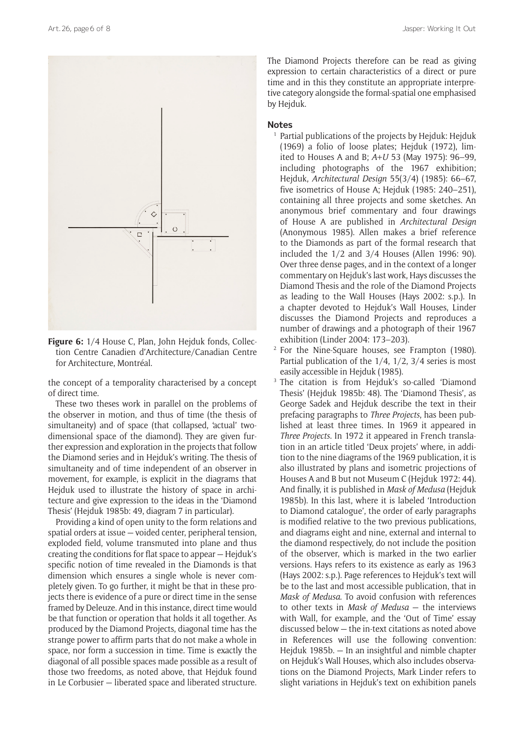

**Figure 6:** 1/4 House C, Plan, John Hejduk fonds, Collection Centre Canadien d'Architecture/Canadian Centre for Architecture, Montréal.

the concept of a temporality characterised by a concept of direct time.

These two theses work in parallel on the problems of the observer in motion, and thus of time (the thesis of simultaneity) and of space (that collapsed, 'actual' twodimensional space of the diamond). They are given further expression and exploration in the projects that follow the Diamond series and in Hejduk's writing. The thesis of simultaneity and of time independent of an observer in movement, for example, is explicit in the diagrams that Hejduk used to illustrate the history of space in architecture and give expression to the ideas in the 'Diamond Thesis' (Hejduk 1985b: 49, diagram 7 in particular).

Providing a kind of open unity to the form relations and spatial orders at issue — voided center, peripheral tension, exploded field, volume transmuted into plane and thus creating the conditions for flat space to appear — Hejduk's specific notion of time revealed in the Diamonds is that dimension which ensures a single whole is never completely given. To go further, it might be that in these projects there is evidence of a pure or direct time in the sense framed by Deleuze. And in this instance, direct time would be that function or operation that holds it all together. As produced by the Diamond Projects, diagonal time has the strange power to affirm parts that do not make a whole in space, nor form a succession in time. Time is exactly the diagonal of all possible spaces made possible as a result of those two freedoms, as noted above, that Hejduk found in Le Corbusier — liberated space and liberated structure.

The Diamond Projects therefore can be read as giving expression to certain characteristics of a direct or pure time and in this they constitute an appropriate interpretive category alongside the formal-spatial one emphasised by Hejduk.

## **Notes**

- <sup>1</sup> Partial publications of the projects by Hejduk: Hejduk (1969) a folio of loose plates; Hejduk (1972), limited to Houses A and B; *A+U* 53 (May 1975): 96–99, including photographs of the 1967 exhibition; Hejduk, *Architectural Design* 55(3/4) (1985): 66–67, five isometrics of House A; Hejduk (1985: 240–251), containing all three projects and some sketches. An anonymous brief commentary and four drawings of House A are published in *Architectural Design* (Anonymous 1985). Allen makes a brief reference to the Diamonds as part of the formal research that included the 1/2 and 3/4 Houses (Allen 1996: 90). Over three dense pages, and in the context of a longer commentary on Hejduk's last work, Hays discusses the Diamond Thesis and the role of the Diamond Projects as leading to the Wall Houses (Hays 2002: s.p.). In a chapter devoted to Hejduk's Wall Houses, Linder discusses the Diamond Projects and reproduces a number of drawings and a photograph of their 1967 exhibition (Linder 2004: 173–203).
- <sup>2</sup> For the Nine-Square houses, see Frampton (1980). Partial publication of the 1/4, 1/2, 3/4 series is most easily accessible in Hejduk (1985).
- <sup>3</sup> The citation is from Hejduk's so-called 'Diamond Thesis' (Hejduk 1985b: 48). The 'Diamond Thesis', as George Sadek and Hejduk describe the text in their prefacing paragraphs to *Three Projects*, has been published at least three times. In 1969 it appeared in *Three Projects*. In 1972 it appeared in French translation in an article titled 'Deux projets' where, in addition to the nine diagrams of the 1969 publication, it is also illustrated by plans and isometric projections of Houses A and B but not Museum C (Hejduk 1972: 44). And finally, it is published in *Mask of Medusa* (Hejduk 1985b). In this last, where it is labeled 'Introduction to Diamond catalogue', the order of early paragraphs is modified relative to the two previous publications, and diagrams eight and nine, external and internal to the diamond respectively, do not include the position of the observer, which is marked in the two earlier versions. Hays refers to its existence as early as 1963 (Hays 2002: s.p.). Page references to Hejduk's text will be to the last and most accessible publication, that in *Mask of Medusa*. To avoid confusion with references to other texts in *Mask of Medusa* — the interviews with Wall, for example, and the 'Out of Time' essay discussed below — the in-text citations as noted above in References will use the following convention: Hejduk 1985b. — In an insightful and nimble chapter on Hejduk's Wall Houses, which also includes observations on the Diamond Projects, Mark Linder refers to slight variations in Hejduk's text on exhibition panels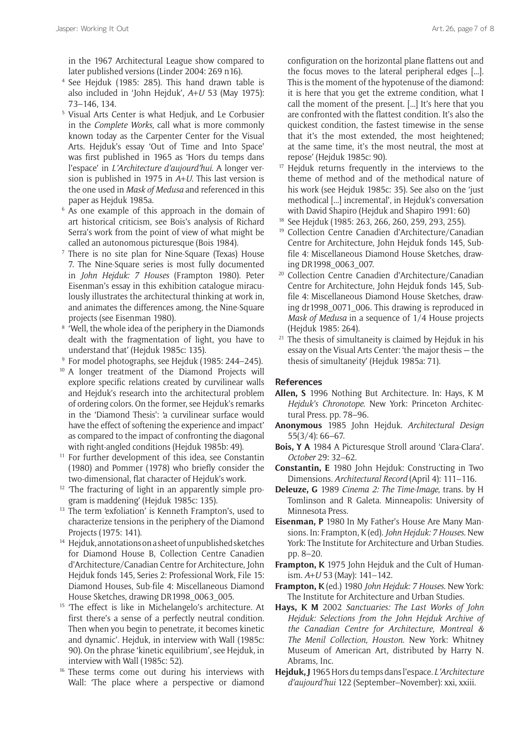in the 1967 Architectural League show compared to later published versions (Linder 2004: 269 n16).

- <sup>4</sup> See Hejduk (1985: 285). This hand drawn table is also included in 'John Hejduk', *A+U* 53 (May 1975): 73–146, 134.
- <sup>5</sup> Visual Arts Center is what Hedjuk, and Le Corbusier in the *Complete Works*, call what is more commonly known today as the Carpenter Center for the Visual Arts. Hejduk's essay 'Out of Time and Into Space' was first published in 1965 as 'Hors du temps dans l'espace' in *L'Architecture d'aujourd'hui*. A longer version is published in 1975 in *A+U*. This last version is the one used in *Mask of Medusa* and referenced in this paper as Hejduk 1985a.
- <sup>6</sup> As one example of this approach in the domain of art historical criticism, see Bois's analysis of Richard Serra's work from the point of view of what might be called an autonomous picturesque (Bois 1984).
- <sup>7</sup> There is no site plan for Nine-Square (Texas) House 7. The Nine-Square series is most fully documented in *John Hejduk: 7 Houses* (Frampton 1980). Peter Eisenman's essay in this exhibition catalogue miraculously illustrates the architectural thinking at work in, and animates the differences among, the Nine-Square projects (see Eisenman 1980).
- <sup>8</sup> 'Well, the whole idea of the periphery in the Diamonds dealt with the fragmentation of light, you have to understand that' (Hejduk 1985c: 135).
- <sup>9</sup> For model photographs, see Hejduk (1985: 244–245).
- <sup>10</sup> A longer treatment of the Diamond Projects will explore specific relations created by curvilinear walls and Hejduk's research into the architectural problem of ordering colors. On the former, see Hejduk's remarks in the 'Diamond Thesis': 'a curvilinear surface would have the effect of softening the experience and impact' as compared to the impact of confronting the diagonal with right-angled conditions (Hejduk 1985b: 49).
- <sup>11</sup> For further development of this idea, see Constantin (1980) and Pommer (1978) who briefly consider the two-dimensional, flat character of Hejduk's work.
- <sup>12</sup> 'The fracturing of light in an apparently simple program is maddening' (Hejduk 1985c: 135).
- <sup>13</sup> The term 'exfoliation' is Kenneth Frampton's, used to characterize tensions in the periphery of the Diamond Projects (1975: 141).
- <sup>14</sup> Hejduk, annotations on a sheet of unpublished sketches for Diamond House B, Collection Centre Canadien d'Architecture/Canadian Centre for Architecture, John Hejduk fonds 145, Series 2: Professional Work, File 15: Diamond Houses, Sub-file 4: Miscellaneous Diamond House Sketches, drawing DR1998\_0063\_005.
- <sup>15</sup> 'The effect is like in Michelangelo's architecture. At first there's a sense of a perfectly neutral condition. Then when you begin to penetrate, it becomes kinetic and dynamic'. Hejduk, in interview with Wall (1985c: 90). On the phrase 'kinetic equilibrium', see Hejduk, in interview with Wall (1985c: 52).
- <sup>16</sup> These terms come out during his interviews with Wall: 'The place where a perspective or diamond

configuration on the horizontal plane flattens out and the focus moves to the lateral peripheral edges [...]. This is the moment of the hypotenuse of the diamond: it is here that you get the extreme condition, what I call the moment of the present. [...] It's here that you are confronted with the flattest condition. It's also the quickest condition, the fastest timewise in the sense that it's the most extended, the most heightened; at the same time, it's the most neutral, the most at repose' (Hejduk 1985c: 90).

- <sup>17</sup> Hejduk returns frequently in the interviews to the theme of method and of the methodical nature of his work (see Hejduk 1985c: 35). See also on the 'just methodical [...] incremental', in Hejduk's conversation with David Shapiro (Hejduk and Shapiro 1991: 60)
- <sup>18</sup> See Hejduk (1985: 263, 266, 260, 259, 293, 255).
- <sup>19</sup> Collection Centre Canadien d'Architecture/Canadian Centre for Architecture, John Hejduk fonds 145, Subfile 4: Miscellaneous Diamond House Sketches, drawing DR1998\_0063\_007.
- <sup>20</sup> Collection Centre Canadien d'Architecture/Canadian Centre for Architecture, John Hejduk fonds 145, Subfile 4: Miscellaneous Diamond House Sketches, drawing dr1998\_0071\_006. This drawing is reproduced in *Mask of Medusa* in a sequence of 1/4 House projects (Hejduk 1985: 264).
- <sup>21</sup> The thesis of simultaneity is claimed by Hejduk in his essay on the Visual Arts Center: 'the major thesis — the thesis of simultaneity' (Hejduk 1985a: 71).

## **References**

- **Allen, S** 1996 Nothing But Architecture. In: Hays, K M *Hejduk's Chronotope*. New York: Princeton Architectural Press. pp. 78–96.
- **Anonymous** 1985 John Hejduk. *Architectural Design* 55(3/4): 66–67.
- **Bois, Y A** 1984 A Picturesque Stroll around 'Clara-Clara'. *October* 29: 32–62.
- **Constantin, E** 1980 John Hejduk: Constructing in Two Dimensions. *Architectural Record* (April 4): 111–116.
- **Deleuze, G** 1989 *Cinema 2: The Time-Image*, trans. by H Tomlinson and R Galeta. Minneapolis: University of Minnesota Press.
- **Eisenman, P** 1980 In My Father's House Are Many Mansions. In: Frampton, K (ed). *John Hejduk: 7 Houses*. New York: The Institute for Architecture and Urban Studies. pp. 8–20.
- **Frampton, K** 1975 John Hejduk and the Cult of Humanism. *A+U* 53 (May): 141–142.
- **Frampton, K** (ed.) 1980 *John Hejduk: 7 Houses*. New York: The Institute for Architecture and Urban Studies.
- **Hays, K M** 2002 *Sanctuaries: The Last Works of John Hejduk: Selections from the John Hejduk Archive of the Canadian Centre for Architecture, Montreal & The Menil Collection, Houston*. New York: Whitney Museum of American Art, distributed by Harry N. Abrams, Inc.
- **Hejduk, J** 1965 Hors du temps dans l'espace. *L'Architecture d'aujourd'hui* 122 (September–November): xxi, xxiii.